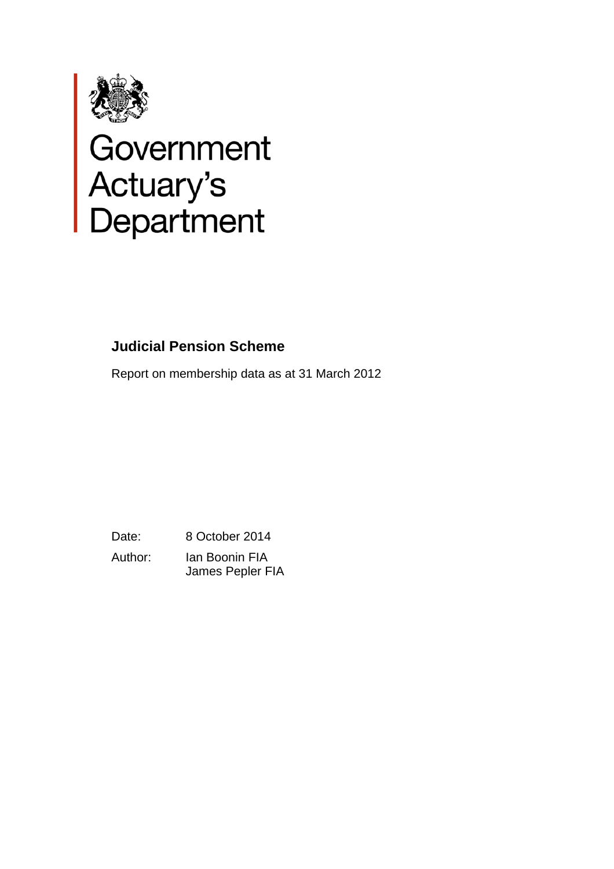

# Government<br>Actuary's<br>Department

# **Judicial Pension Scheme**

Report on membership data as at 31 March 2012

Date: 8 October 2014 Author: Ian Boonin FIA James Pepler FIA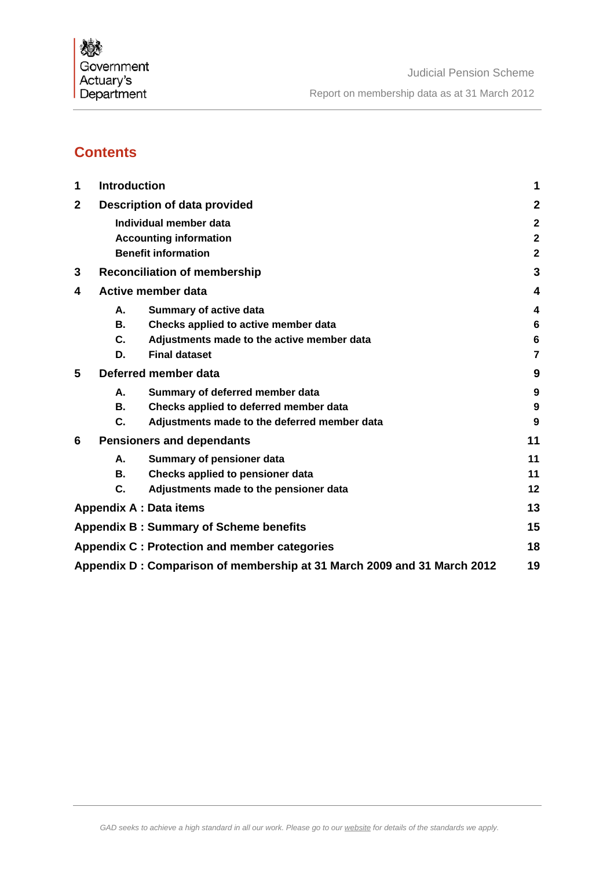# **Contents**

| 1            | <b>Introduction</b>                 |                                                                         |              |  |  |  |  |
|--------------|-------------------------------------|-------------------------------------------------------------------------|--------------|--|--|--|--|
| $\mathbf{2}$ | <b>Description of data provided</b> |                                                                         |              |  |  |  |  |
|              |                                     | Individual member data                                                  | $\mathbf{2}$ |  |  |  |  |
|              |                                     | <b>Accounting information</b>                                           | $\mathbf{2}$ |  |  |  |  |
|              |                                     | <b>Benefit information</b>                                              | $\mathbf 2$  |  |  |  |  |
| 3            |                                     | <b>Reconciliation of membership</b>                                     | 3            |  |  |  |  |
| 4            |                                     | <b>Active member data</b>                                               | 4            |  |  |  |  |
|              | А.                                  | <b>Summary of active data</b>                                           | 4            |  |  |  |  |
|              | <b>B.</b>                           | Checks applied to active member data                                    | 6            |  |  |  |  |
|              | C.                                  | Adjustments made to the active member data                              | 6            |  |  |  |  |
|              | D.                                  | <b>Final dataset</b>                                                    | 7            |  |  |  |  |
| 5            |                                     | Deferred member data                                                    | 9            |  |  |  |  |
|              | Α.                                  | Summary of deferred member data                                         | 9            |  |  |  |  |
|              | В.                                  | Checks applied to deferred member data                                  | 9            |  |  |  |  |
|              | C.                                  | Adjustments made to the deferred member data                            | 9            |  |  |  |  |
| 6            |                                     | <b>Pensioners and dependants</b>                                        | 11           |  |  |  |  |
|              | А.                                  | Summary of pensioner data                                               | 11           |  |  |  |  |
|              | В.                                  | Checks applied to pensioner data                                        | 11           |  |  |  |  |
|              | C.                                  | Adjustments made to the pensioner data                                  | 12           |  |  |  |  |
|              |                                     | <b>Appendix A : Data items</b>                                          | 13           |  |  |  |  |
|              |                                     | <b>Appendix B: Summary of Scheme benefits</b>                           | 15           |  |  |  |  |
|              |                                     | Appendix C: Protection and member categories                            | 18           |  |  |  |  |
|              |                                     | Appendix D: Comparison of membership at 31 March 2009 and 31 March 2012 | 19           |  |  |  |  |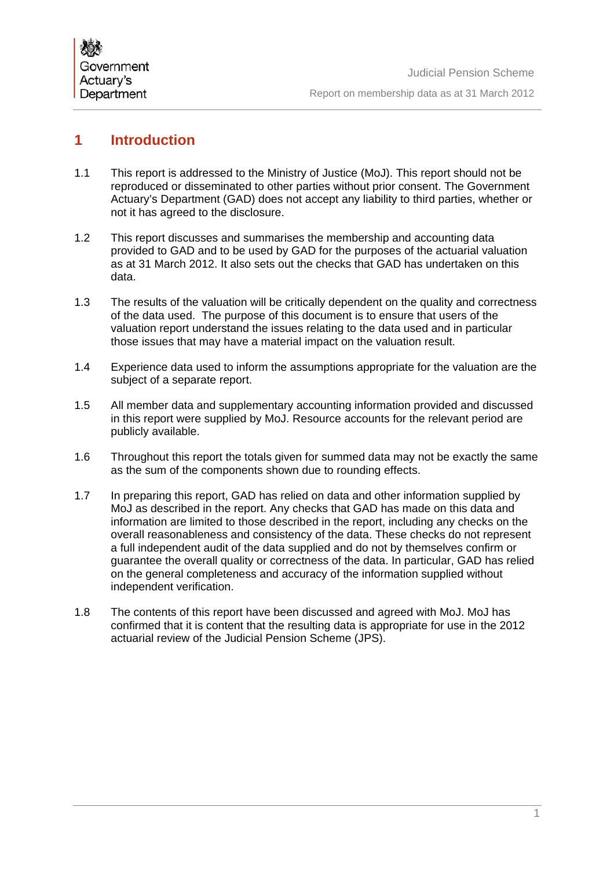

# **1 Introduction**

- 1.1 This report is addressed to the Ministry of Justice (MoJ). This report should not be reproduced or disseminated to other parties without prior consent. The Government Actuary's Department (GAD) does not accept any liability to third parties, whether or not it has agreed to the disclosure.
- 1.2 This report discusses and summarises the membership and accounting data provided to GAD and to be used by GAD for the purposes of the actuarial valuation as at 31 March 2012. It also sets out the checks that GAD has undertaken on this data.
- 1.3 The results of the valuation will be critically dependent on the quality and correctness of the data used. The purpose of this document is to ensure that users of the valuation report understand the issues relating to the data used and in particular those issues that may have a material impact on the valuation result.
- 1.4 Experience data used to inform the assumptions appropriate for the valuation are the subject of a separate report.
- 1.5 All member data and supplementary accounting information provided and discussed in this report were supplied by MoJ. Resource accounts for the relevant period are publicly available.
- 1.6 Throughout this report the totals given for summed data may not be exactly the same as the sum of the components shown due to rounding effects.
- 1.7 In preparing this report, GAD has relied on data and other information supplied by MoJ as described in the report. Any checks that GAD has made on this data and information are limited to those described in the report, including any checks on the overall reasonableness and consistency of the data. These checks do not represent a full independent audit of the data supplied and do not by themselves confirm or guarantee the overall quality or correctness of the data. In particular, GAD has relied on the general completeness and accuracy of the information supplied without independent verification.
- 1.8 The contents of this report have been discussed and agreed with MoJ. MoJ has confirmed that it is content that the resulting data is appropriate for use in the 2012 actuarial review of the Judicial Pension Scheme (JPS).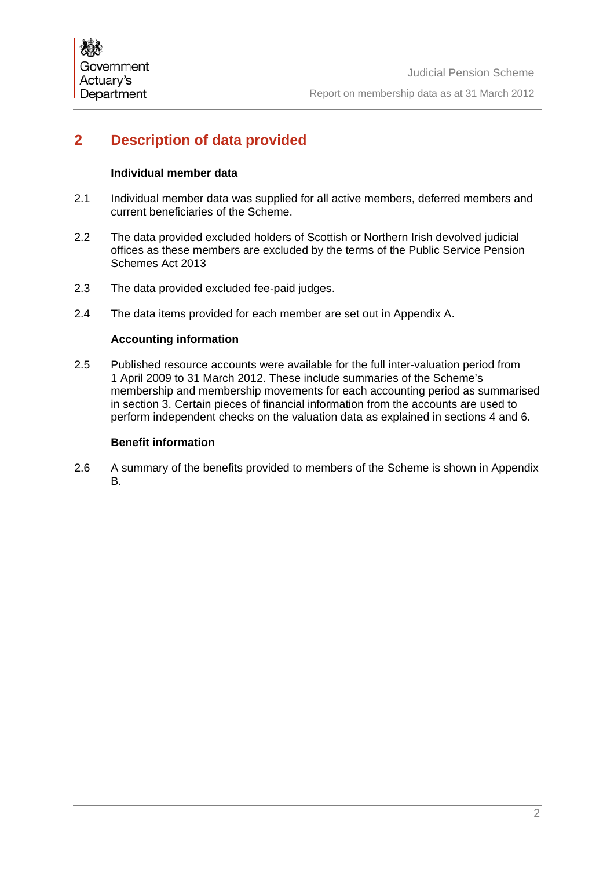# **2 Description of data provided**

## **Individual member data**

- 2.1 Individual member data was supplied for all active members, deferred members and current beneficiaries of the Scheme.
- 2.2 The data provided excluded holders of Scottish or Northern Irish devolved judicial offices as these members are excluded by the terms of the Public Service Pension Schemes Act 2013
- 2.3 The data provided excluded fee-paid judges.
- 2.4 The data items provided for each member are set out in Appendix A.

## **Accounting information**

2.5 Published resource accounts were available for the full inter-valuation period from 1 April 2009 to 31 March 2012. These include summaries of the Scheme's membership and membership movements for each accounting period as summarised in section 3. Certain pieces of financial information from the accounts are used to perform independent checks on the valuation data as explained in sections 4 and 6.

## **Benefit information**

2.6 A summary of the benefits provided to members of the Scheme is shown in Appendix B.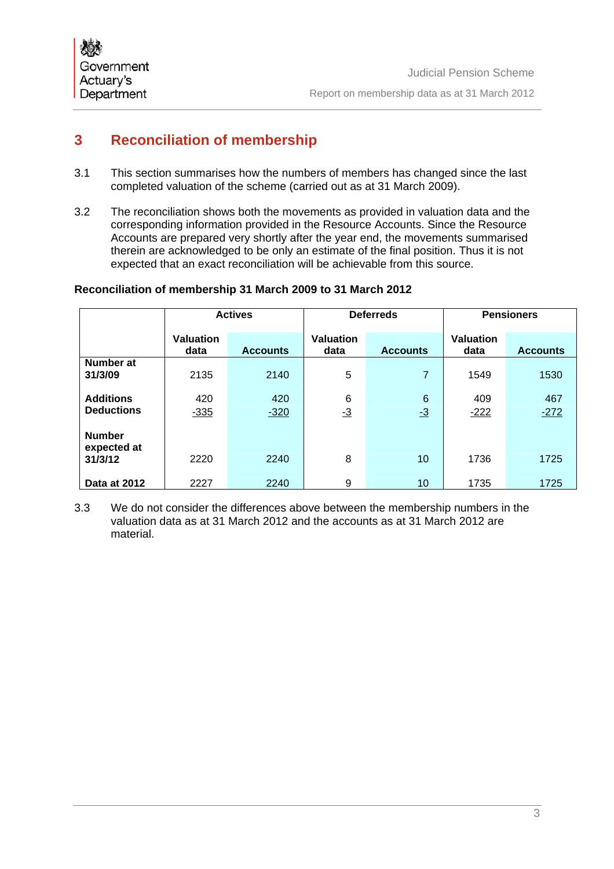

# **3 Reconciliation of membership**

- 3.1 This section summarises how the numbers of members has changed since the last completed valuation of the scheme (carried out as at 31 March 2009).
- 3.2 The reconciliation shows both the movements as provided in valuation data and the corresponding information provided in the Resource Accounts. Since the Resource Accounts are prepared very shortly after the year end, the movements summarised therein are acknowledged to be only an estimate of the final position. Thus it is not expected that an exact reconciliation will be achievable from this source.

## **Reconciliation of membership 31 March 2009 to 31 March 2012**

|                                         |                   | <b>Actives</b>  |                   | <b>Deferreds</b>    | <b>Pensioners</b>        |                 |
|-----------------------------------------|-------------------|-----------------|-------------------|---------------------|--------------------------|-----------------|
|                                         | Valuation<br>data | <b>Accounts</b> | Valuation<br>data | <b>Accounts</b>     | <b>Valuation</b><br>data | <b>Accounts</b> |
| Number at<br>31/3/09                    | 2135              | 2140            | 5                 | 7                   | 1549                     | 1530            |
| <b>Additions</b><br><b>Deductions</b>   | 420<br>$-335$     | 420<br>$-320$   | 6<br>$-3$         | 6<br>$\frac{-3}{2}$ | 409<br>$-222$            | 467<br>$-272$   |
| <b>Number</b><br>expected at<br>31/3/12 | 2220              | 2240            | 8                 | 10                  | 1736                     | 1725            |
| Data at 2012                            | 2227              | 2240            | 9                 | 10                  | 1735                     | 1725            |

3.3 We do not consider the differences above between the membership numbers in the valuation data as at 31 March 2012 and the accounts as at 31 March 2012 are material.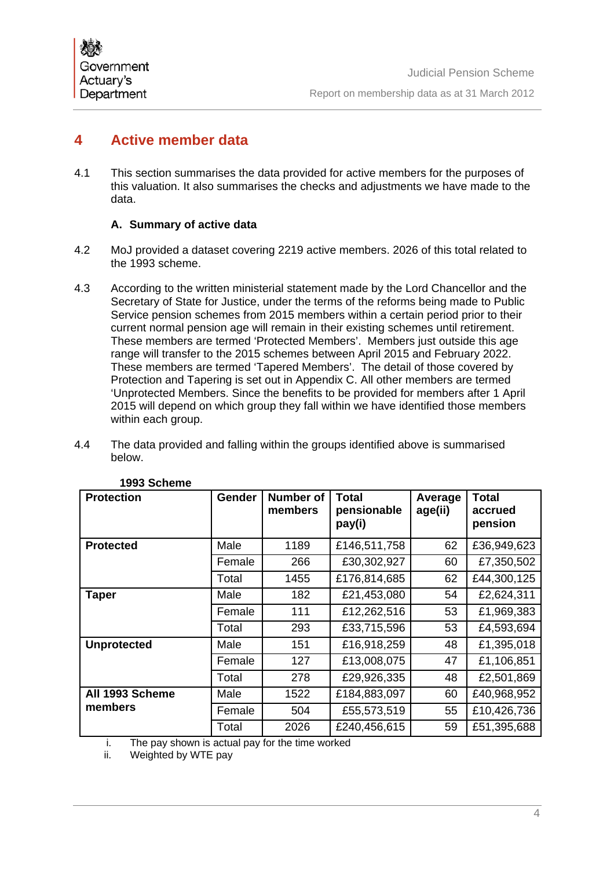# **4 Active member data**

4.1 This section summarises the data provided for active members for the purposes of this valuation. It also summarises the checks and adjustments we have made to the data.

# **A. Summary of active data**

- 4.2 MoJ provided a dataset covering 2219 active members. 2026 of this total related to the 1993 scheme.
- 4.3 According to the written ministerial statement made by the Lord Chancellor and the Secretary of State for Justice, under the terms of the reforms being made to Public Service pension schemes from 2015 members within a certain period prior to their current normal pension age will remain in their existing schemes until retirement. These members are termed 'Protected Members'. Members just outside this age range will transfer to the 2015 schemes between April 2015 and February 2022. These members are termed 'Tapered Members'. The detail of those covered by Protection and Tapering is set out in Appendix C. All other members are termed 'Unprotected Members. Since the benefits to be provided for members after 1 April 2015 will depend on which group they fall within we have identified those members within each group.
- 4.4 The data provided and falling within the groups identified above is summarised below.

| <b>Protection</b>  | Gender | <b>Number of</b><br>members | <b>Total</b><br>pensionable<br>pay(i) | Average<br>age(ii) | <b>Total</b><br>accrued<br>pension |
|--------------------|--------|-----------------------------|---------------------------------------|--------------------|------------------------------------|
| <b>Protected</b>   | Male   | 1189                        | £146,511,758                          | 62                 | £36,949,623                        |
|                    | Female | 266                         | £30,302,927                           | 60                 | £7,350,502                         |
|                    | Total  | 1455                        | £176,814,685                          | 62                 | £44,300,125                        |
| <b>Taper</b>       | Male   | 182                         | £21,453,080                           | 54                 | £2,624,311                         |
|                    | Female | 111                         | £12,262,516                           | 53                 | £1,969,383                         |
|                    | Total  | 293                         | £33,715,596                           | 53                 | £4,593,694                         |
| <b>Unprotected</b> | Male   | 151                         | £16,918,259                           | 48                 | £1,395,018                         |
|                    | Female | 127                         | £13,008,075                           | 47                 | £1,106,851                         |
|                    | Total  | 278                         | £29,926,335                           | 48                 | £2,501,869                         |
| All 1993 Scheme    | Male   | 1522                        | £184,883,097                          | 60                 | £40,968,952                        |
| members            | Female | 504                         | £55,573,519                           | 55                 | £10,426,736                        |
|                    | Total  | 2026                        | £240,456,615                          | 59                 | £51,395,688                        |

#### **1993 Scheme**

i. The pay shown is actual pay for the time worked

Weighted by WTE pay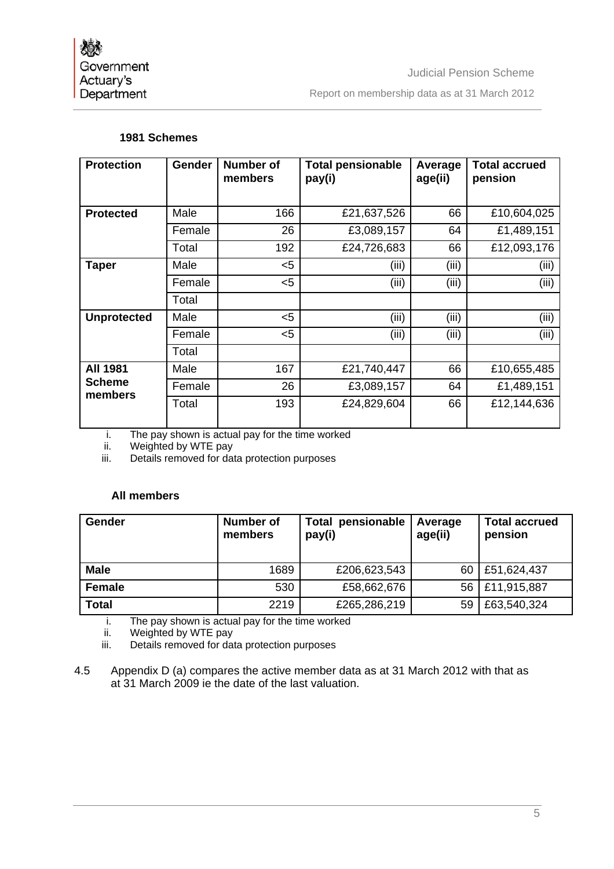## **1981 Schemes**

| <b>Protection</b>        | Gender | <b>Number of</b><br>members | <b>Total pensionable</b><br>pay(i) | Average<br>age(ii) | <b>Total accrued</b><br>pension |
|--------------------------|--------|-----------------------------|------------------------------------|--------------------|---------------------------------|
|                          |        |                             |                                    |                    |                                 |
| <b>Protected</b>         | Male   | 166                         | £21,637,526                        | 66                 | £10,604,025                     |
|                          | Female | 26                          | £3,089,157                         | 64                 | £1,489,151                      |
|                          | Total  | 192                         | £24,726,683                        | 66                 | £12,093,176                     |
| <b>Taper</b>             | Male   | $5$                         | (iii)                              | (iii)              | (iii)                           |
|                          | Female | $5$                         | (iii)                              | (iii)              | (iii)                           |
|                          | Total  |                             |                                    |                    |                                 |
| <b>Unprotected</b>       | Male   | $5$                         | (iii)                              | (iii)              | (iii)                           |
|                          | Female | $5$                         | (iii)                              | (iii)              | (iii)                           |
|                          | Total  |                             |                                    |                    |                                 |
| <b>All 1981</b>          | Male   | 167                         | £21,740,447                        | 66                 | £10,655,485                     |
| <b>Scheme</b><br>members | Female | 26                          | £3,089,157                         | 64                 | £1,489,151                      |
|                          | Total  | 193                         | £24,829,604                        | 66                 | £12,144,636                     |

i. The pay shown is actual pay for the time worked

ii. Weighted by WTE pay<br>iii. Details removed for dat

Details removed for data protection purposes

## **All members**

| Gender        | Number of<br>members | <b>Total pensionable</b><br>pay(i) | Average<br>age(ii) | <b>Total accrued</b><br>pension |
|---------------|----------------------|------------------------------------|--------------------|---------------------------------|
| <b>Male</b>   | 1689                 | £206,623,543                       | 60                 | £51,624,437                     |
| <b>Female</b> | 530                  | £58,662,676                        | 56                 | £11,915,887                     |
| <b>Total</b>  | 2219                 | £265,286,219                       | 59                 | £63,540,324                     |

i. The pay shown is actual pay for the time worked

ii. Weighted by WTE pay<br>iii. Details removed for dat

Details removed for data protection purposes

4.5 Appendix D (a) compares the active member data as at 31 March 2012 with that as at 31 March 2009 ie the date of the last valuation.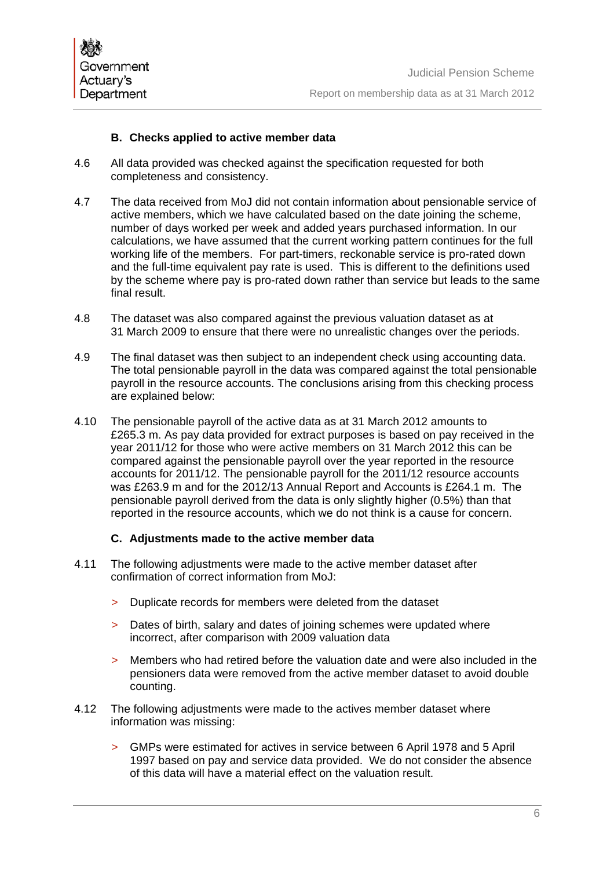#### **B. Checks applied to active member data**

- 4.6 All data provided was checked against the specification requested for both completeness and consistency.
- 4.7 The data received from MoJ did not contain information about pensionable service of active members, which we have calculated based on the date joining the scheme, number of days worked per week and added years purchased information. In our calculations, we have assumed that the current working pattern continues for the full working life of the members. For part-timers, reckonable service is pro-rated down and the full-time equivalent pay rate is used. This is different to the definitions used by the scheme where pay is pro-rated down rather than service but leads to the same final result.
- 4.8 The dataset was also compared against the previous valuation dataset as at 31 March 2009 to ensure that there were no unrealistic changes over the periods.
- 4.9 The final dataset was then subject to an independent check using accounting data. The total pensionable payroll in the data was compared against the total pensionable payroll in the resource accounts. The conclusions arising from this checking process are explained below:
- 4.10 The pensionable payroll of the active data as at 31 March 2012 amounts to £265.3 m. As pay data provided for extract purposes is based on pay received in the year 2011/12 for those who were active members on 31 March 2012 this can be compared against the pensionable payroll over the year reported in the resource accounts for 2011/12. The pensionable payroll for the 2011/12 resource accounts was £263.9 m and for the 2012/13 Annual Report and Accounts is £264.1 m. The pensionable payroll derived from the data is only slightly higher (0.5%) than that reported in the resource accounts, which we do not think is a cause for concern.

#### **C. Adjustments made to the active member data**

- 4.11 The following adjustments were made to the active member dataset after confirmation of correct information from MoJ:
	- > Duplicate records for members were deleted from the dataset
	- > Dates of birth, salary and dates of joining schemes were updated where incorrect, after comparison with 2009 valuation data
	- > Members who had retired before the valuation date and were also included in the pensioners data were removed from the active member dataset to avoid double counting.
- 4.12 The following adjustments were made to the actives member dataset where information was missing:
	- > GMPs were estimated for actives in service between 6 April 1978 and 5 April 1997 based on pay and service data provided. We do not consider the absence of this data will have a material effect on the valuation result.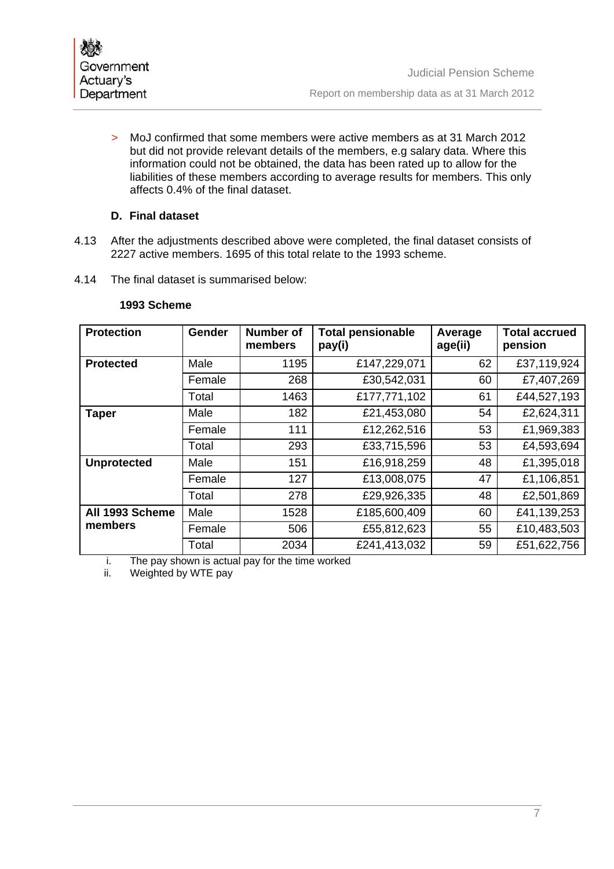> MoJ confirmed that some members were active members as at 31 March 2012 but did not provide relevant details of the members, e.g salary data. Where this information could not be obtained, the data has been rated up to allow for the liabilities of these members according to average results for members. This only affects 0.4% of the final dataset.

## **D. Final dataset**

- 4.13 After the adjustments described above were completed, the final dataset consists of 2227 active members. 1695 of this total relate to the 1993 scheme.
- 4.14 The final dataset is summarised below:

| <b>Protection</b>  | Gender | <b>Number of</b><br>members | <b>Total pensionable</b><br>pay(i) | Average<br>age(ii) | <b>Total accrued</b><br>pension |
|--------------------|--------|-----------------------------|------------------------------------|--------------------|---------------------------------|
| <b>Protected</b>   | Male   | 1195                        | £147,229,071                       | 62                 | £37,119,924                     |
|                    | Female | 268                         | £30,542,031                        | 60                 | £7,407,269                      |
|                    | Total  | 1463                        | £177,771,102                       | 61                 | £44,527,193                     |
| <b>Taper</b>       | Male   | 182                         | £21,453,080                        | 54                 | £2,624,311                      |
|                    | Female | 111                         | £12,262,516                        | 53                 | £1,969,383                      |
|                    | Total  | 293                         | £33,715,596                        | 53                 | £4,593,694                      |
| <b>Unprotected</b> | Male   | 151                         | £16,918,259                        | 48                 | £1,395,018                      |
|                    | Female | 127                         | £13,008,075                        | 47                 | £1,106,851                      |
|                    | Total  | 278                         | £29,926,335                        | 48                 | £2,501,869                      |
| All 1993 Scheme    | Male   | 1528                        | £185,600,409                       | 60                 | £41,139,253                     |
| members            | Female | 506                         | £55,812,623                        | 55                 | £10,483,503                     |
|                    | Total  | 2034                        | £241,413,032                       | 59                 | £51,622,756                     |

#### **1993 Scheme**

i. The pay shown is actual pay for the time worked

Weighted by WTE pay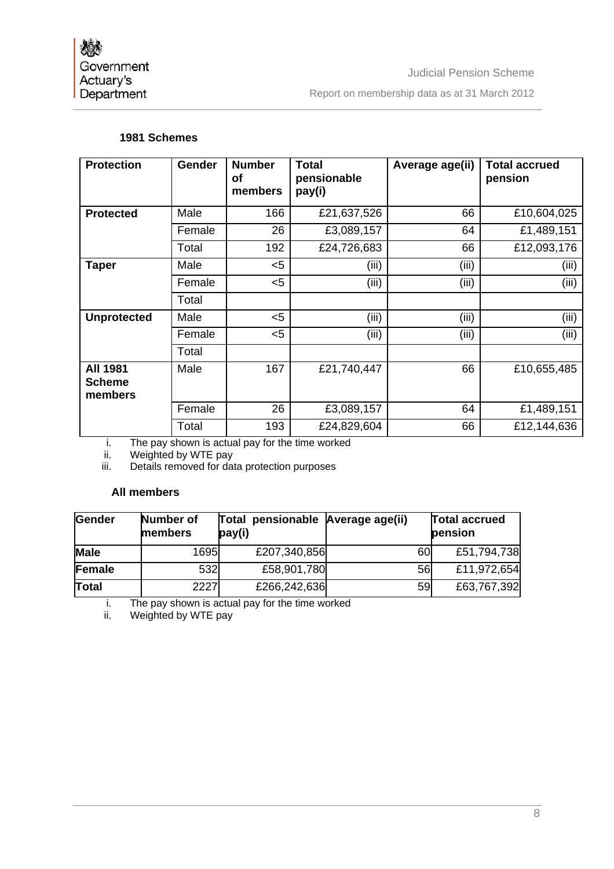Judicial Pension Scheme Report on membership data as at 31 March 2012

## **1981 Schemes**

| <b>Protection</b>                           | <b>Gender</b> | <b>Number</b><br>οf<br>members | <b>Total</b><br>pensionable<br>pay(i) | Average age(ii) | <b>Total accrued</b><br>pension |
|---------------------------------------------|---------------|--------------------------------|---------------------------------------|-----------------|---------------------------------|
| <b>Protected</b>                            | Male          | 166                            | £21,637,526                           | 66              | £10,604,025                     |
|                                             | Female        | 26                             | £3,089,157                            | 64              | £1,489,151                      |
|                                             | Total         | 192                            | £24,726,683                           | 66              | £12,093,176                     |
| <b>Taper</b>                                | Male          | $5$                            | (iii)                                 | (iii)           | (iii)                           |
|                                             | Female        | $<$ 5                          | (iii)                                 | (iii)           | (iii)                           |
|                                             | Total         |                                |                                       |                 |                                 |
| <b>Unprotected</b>                          | Male          | $5$                            | (iii)                                 | (iii)           | (iii)                           |
|                                             | Female        | $5$                            | (iii)                                 | (iii)           | (iii)                           |
|                                             | Total         |                                |                                       |                 |                                 |
| <b>All 1981</b><br><b>Scheme</b><br>members | Male          | 167                            | £21,740,447                           | 66              | £10,655,485                     |
|                                             | Female        | 26                             | £3,089,157                            | 64              | £1,489,151                      |
|                                             | Total         | 193                            | £24,829,604                           | 66              | £12,144,636                     |

i. The pay shown is actual pay for the time worked

ii. Weighted by WTE pay

iii. Details removed for data protection purposes

## **All members**

| <b>Gender</b> | Number of<br>members | Total pensionable Average age(ii)<br>pay(i) |           | <b>Total accrued</b><br>pension |
|---------------|----------------------|---------------------------------------------|-----------|---------------------------------|
| <b>Male</b>   | 1695                 | £207,340,856                                | 60        | £51,794,738                     |
| Female        | 532                  | £58,901,780                                 | 56        | £11,972,654                     |
| Total         | 2227                 | £266,242,636                                | <b>59</b> | £63,767,392                     |

i. The pay shown is actual pay for the time worked<br>ii. Weighted by WTE pay

Weighted by WTE pay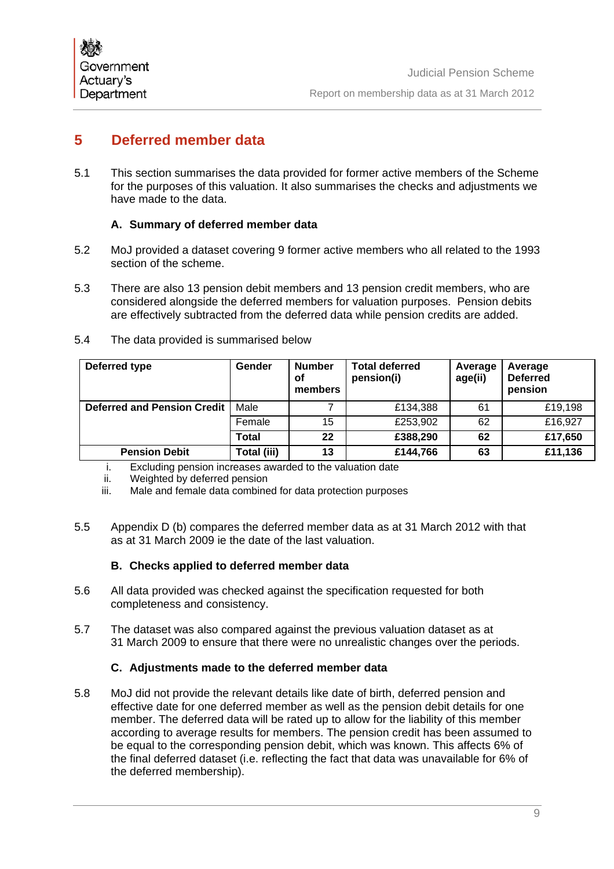# **5 Deferred member data**

5.1 This section summarises the data provided for former active members of the Scheme for the purposes of this valuation. It also summarises the checks and adjustments we have made to the data.

# **A. Summary of deferred member data**

- 5.2 MoJ provided a dataset covering 9 former active members who all related to the 1993 section of the scheme.
- 5.3 There are also 13 pension debit members and 13 pension credit members, who are considered alongside the deferred members for valuation purposes. Pension debits are effectively subtracted from the deferred data while pension credits are added.
- 5.4 The data provided is summarised below

| Deferred type                      | Gender      | <b>Number</b><br>οf<br>members | <b>Total deferred</b><br>pension(i) | Average<br>age(ii) | Average<br><b>Deferred</b><br>pension |
|------------------------------------|-------------|--------------------------------|-------------------------------------|--------------------|---------------------------------------|
| <b>Deferred and Pension Credit</b> | Male        |                                | £134,388                            | 61                 | £19,198                               |
|                                    | Female      | 15                             | £253,902                            | 62                 | £16,927                               |
|                                    | Total       | 22                             | £388,290                            | 62                 | £17,650                               |
| <b>Pension Debit</b>               | Total (iii) | 13                             | £144,766                            | 63                 | £11,136                               |

- i. Excluding pension increases awarded to the valuation date
- ii. Weighted by deferred pension<br>iii. Male and female data combine
- Male and female data combined for data protection purposes
- 5.5 Appendix D (b) compares the deferred member data as at 31 March 2012 with that as at 31 March 2009 ie the date of the last valuation.

## **B. Checks applied to deferred member data**

- 5.6 All data provided was checked against the specification requested for both completeness and consistency.
- 5.7 The dataset was also compared against the previous valuation dataset as at 31 March 2009 to ensure that there were no unrealistic changes over the periods.

## **C. Adjustments made to the deferred member data**

5.8 MoJ did not provide the relevant details like date of birth, deferred pension and effective date for one deferred member as well as the pension debit details for one member. The deferred data will be rated up to allow for the liability of this member according to average results for members. The pension credit has been assumed to be equal to the corresponding pension debit, which was known. This affects 6% of the final deferred dataset (i.e. reflecting the fact that data was unavailable for 6% of the deferred membership).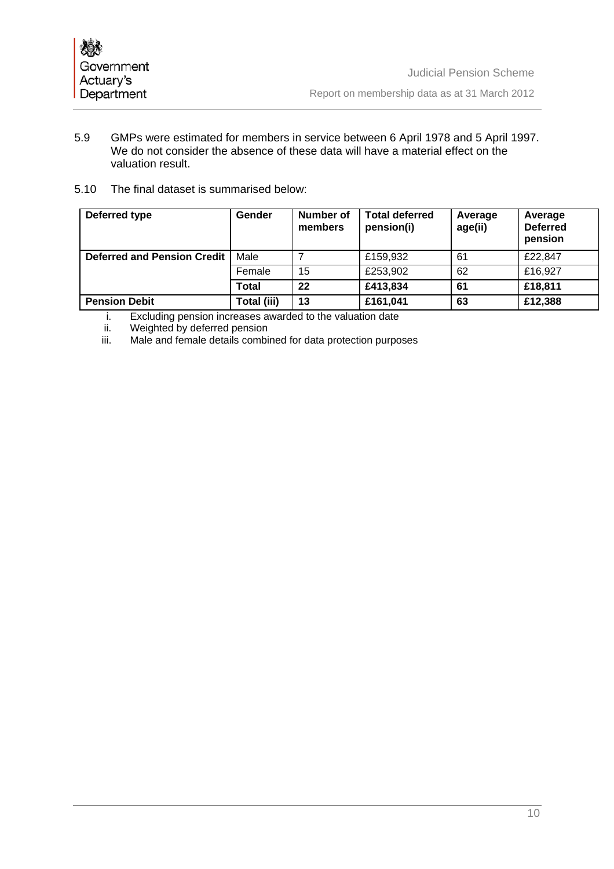- 5.9 GMPs were estimated for members in service between 6 April 1978 and 5 April 1997. We do not consider the absence of these data will have a material effect on the valuation result.
- 5.10 The final dataset is summarised below:

| Deferred type                      | Gender       | Number of<br>members | <b>Total deferred</b><br>pension(i) | Average<br>age(ii) | Average<br><b>Deferred</b><br>pension |
|------------------------------------|--------------|----------------------|-------------------------------------|--------------------|---------------------------------------|
| <b>Deferred and Pension Credit</b> | Male         |                      | £159,932                            | 61                 | £22,847                               |
|                                    | Female       | 15                   | £253,902                            | 62                 | £16,927                               |
|                                    | <b>Total</b> | 22                   | £413,834                            | 61                 | £18,811                               |
| <b>Pension Debit</b>               | Total (iii)  | 13                   | £161,041                            | 63                 | £12,388                               |

- i. Excluding pension increases awarded to the valuation date ii. Weighted by deferred pension
- ii. Weighted by deferred pension<br>iii. Male and female details combi
- Male and female details combined for data protection purposes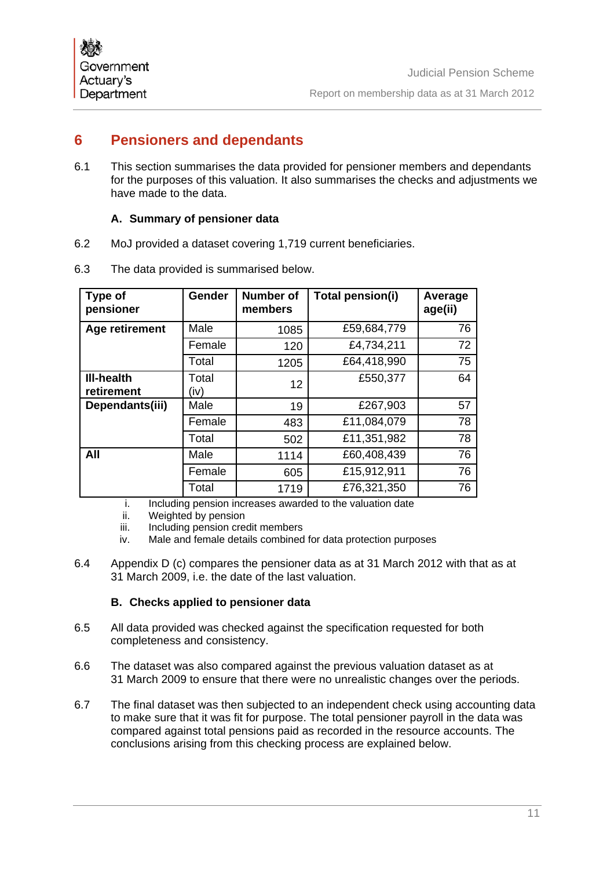# **6 Pensioners and dependants**

6.1 This section summarises the data provided for pensioner members and dependants for the purposes of this valuation. It also summarises the checks and adjustments we have made to the data.

## **A. Summary of pensioner data**

6.2 MoJ provided a dataset covering 1,719 current beneficiaries.

| Type of<br>pensioner            | <b>Gender</b> | <b>Number of</b><br>members | Total pension(i) | Average<br>age(ii) |
|---------------------------------|---------------|-----------------------------|------------------|--------------------|
| Age retirement                  | Male          | 1085                        | £59,684,779      | 76                 |
|                                 | Female        | 120                         | £4,734,211       | 72                 |
|                                 | Total         | 1205                        | £64,418,990      | 75                 |
| <b>III-health</b><br>retirement | Total<br>(iv) | 12 <sup>2</sup>             | £550,377         | 64                 |
| Dependants(iii)                 | Male          | 19                          | £267,903         | 57                 |
|                                 | Female        | 483                         | £11,084,079      | 78                 |
|                                 | Total         | 502                         | £11,351,982      | 78                 |
| All                             | Male          | 1114                        | £60,408,439      | 76                 |
|                                 | Female        | 605                         | £15,912,911      | 76                 |
|                                 | Total         | 1719                        | £76,321,350      | 76                 |

6.3 The data provided is summarised below.

i. Including pension increases awarded to the valuation date

ii. Weighted by pension

iii. Including pension credit members

iv. Male and female details combined for data protection purposes

6.4 Appendix D (c) compares the pensioner data as at 31 March 2012 with that as at 31 March 2009, i.e. the date of the last valuation.

#### **B. Checks applied to pensioner data**

- 6.5 All data provided was checked against the specification requested for both completeness and consistency.
- 6.6 The dataset was also compared against the previous valuation dataset as at 31 March 2009 to ensure that there were no unrealistic changes over the periods.
- 6.7 The final dataset was then subjected to an independent check using accounting data to make sure that it was fit for purpose. The total pensioner payroll in the data was compared against total pensions paid as recorded in the resource accounts. The conclusions arising from this checking process are explained below.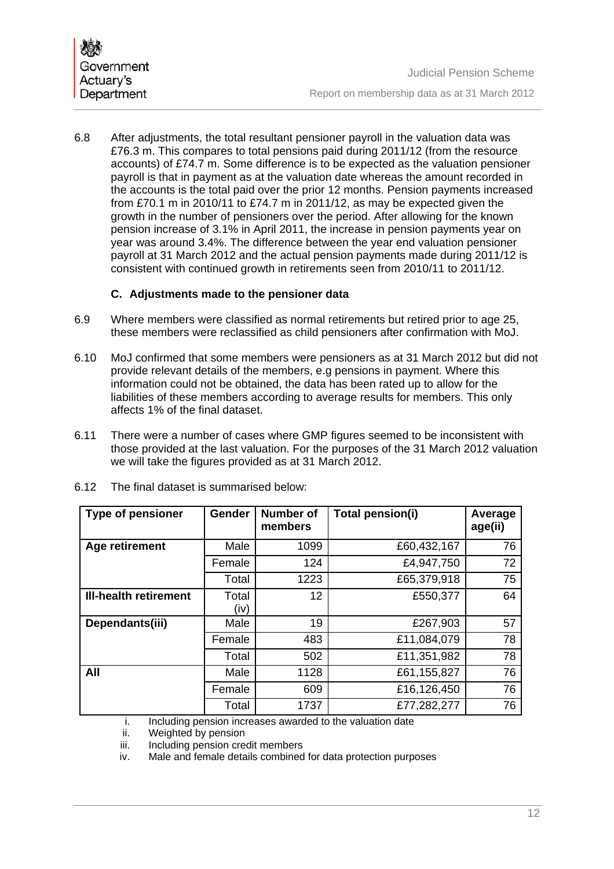6.8 After adjustments, the total resultant pensioner payroll in the valuation data was £76.3 m. This compares to total pensions paid during 2011/12 (from the resource accounts) of £74.7 m. Some difference is to be expected as the valuation pensioner payroll is that in payment as at the valuation date whereas the amount recorded in the accounts is the total paid over the prior 12 months. Pension payments increased from £70.1 m in 2010/11 to £74.7 m in 2011/12, as may be expected given the growth in the number of pensioners over the period. After allowing for the known pension increase of 3.1% in April 2011, the increase in pension payments year on year was around 3.4%. The difference between the year end valuation pensioner payroll at 31 March 2012 and the actual pension payments made during 2011/12 is consistent with continued growth in retirements seen from 2010/11 to 2011/12.

## **C. Adjustments made to the pensioner data**

- 6.9 Where members were classified as normal retirements but retired prior to age 25, these members were reclassified as child pensioners after confirmation with MoJ.
- 6.10 MoJ confirmed that some members were pensioners as at 31 March 2012 but did not provide relevant details of the members, e.g pensions in payment. Where this information could not be obtained, the data has been rated up to allow for the liabilities of these members according to average results for members. This only affects 1% of the final dataset.
- 6.11 There were a number of cases where GMP figures seemed to be inconsistent with those provided at the last valuation. For the purposes of the 31 March 2012 valuation we will take the figures provided as at 31 March 2012.

| <b>Type of pensioner</b>     | Gender        | <b>Number of</b><br>members | Total pension(i) | Average<br>age(ii) |
|------------------------------|---------------|-----------------------------|------------------|--------------------|
| Age retirement               | Male          | 1099                        | £60,432,167      | 76                 |
|                              | Female        | 124                         | £4,947,750       | 72                 |
|                              | Total         | 1223                        | £65,379,918      | 75                 |
| <b>III-health retirement</b> | Total<br>(iv) | 12                          | £550,377         | 64                 |
| Dependants(iii)              | Male          | 19                          | £267,903         | 57                 |
|                              | Female        | 483                         | £11,084,079      | 78                 |
|                              | Total         | 502                         | £11,351,982      | 78                 |
| All                          | Male          | 1128                        | £61,155,827      | 76                 |
|                              | Female        | 609                         | £16,126,450      | 76                 |
|                              | Total         | 1737                        | £77,282,277      | 76                 |

6.12 The final dataset is summarised below:

i. Including pension increases awarded to the valuation date

ii. Weighted by pension

iii. Including pension credit members

iv. Male and female details combined for data protection purposes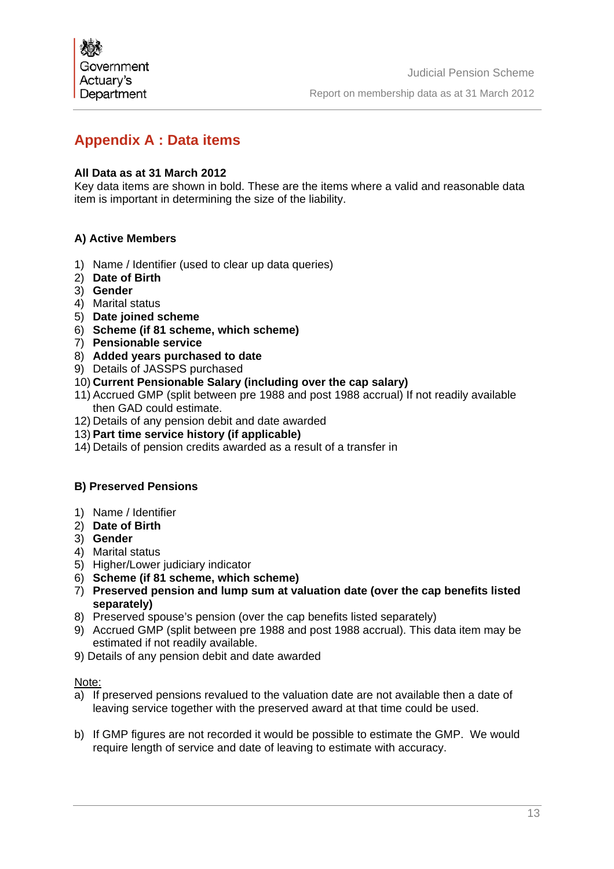# **Appendix A : Data items**

## **All Data as at 31 March 2012**

Key data items are shown in bold. These are the items where a valid and reasonable data item is important in determining the size of the liability.

## **A) Active Members**

- 1) Name / Identifier (used to clear up data queries)
- 2) **Date of Birth**
- 3) **Gender**
- 4) Marital status
- 5) **Date joined scheme**
- 6) **Scheme (if 81 scheme, which scheme)**
- 7) **Pensionable service**
- 8) **Added years purchased to date**
- 9) Details of JASSPS purchased
- 10) **Current Pensionable Salary (including over the cap salary)**
- 11) Accrued GMP (split between pre 1988 and post 1988 accrual) If not readily available then GAD could estimate.
- 12) Details of any pension debit and date awarded
- 13) **Part time service history (if applicable)**
- 14) Details of pension credits awarded as a result of a transfer in

#### **B) Preserved Pensions**

- 1) Name / Identifier
- 2) **Date of Birth**
- 3) **Gender**
- 4) Marital status
- 5) Higher/Lower judiciary indicator
- 6) **Scheme (if 81 scheme, which scheme)**
- 7) **Preserved pension and lump sum at valuation date (over the cap benefits listed separately)**
- 8) Preserved spouse's pension (over the cap benefits listed separately)
- 9) Accrued GMP (split between pre 1988 and post 1988 accrual). This data item may be estimated if not readily available.
- 9) Details of any pension debit and date awarded

#### Note:

- a) If preserved pensions revalued to the valuation date are not available then a date of leaving service together with the preserved award at that time could be used.
- b) If GMP figures are not recorded it would be possible to estimate the GMP. We would require length of service and date of leaving to estimate with accuracy.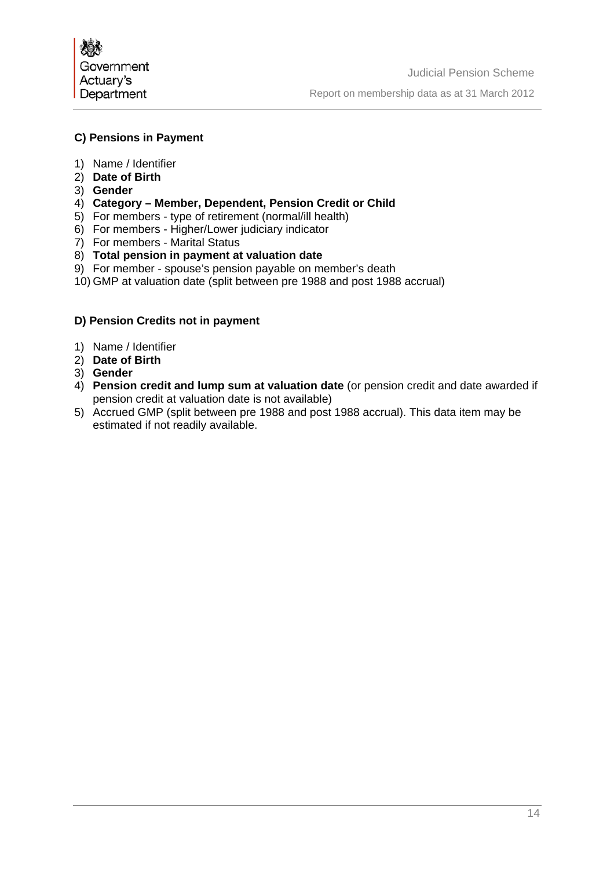

#### **C) Pensions in Payment**

- 1) Name / Identifier
- 2) **Date of Birth**
- 3) **Gender**
- 4) **Category Member, Dependent, Pension Credit or Child**
- 5) For members type of retirement (normal/ill health)
- 6) For members Higher/Lower judiciary indicator
- 7) For members Marital Status
- 8) **Total pension in payment at valuation date**
- 9) For member spouse's pension payable on member's death
- 10) GMP at valuation date (split between pre 1988 and post 1988 accrual)

## **D) Pension Credits not in payment**

- 1) Name / Identifier
- 2) **Date of Birth**
- 3) **Gender**
- 4) **Pension credit and lump sum at valuation date** (or pension credit and date awarded if pension credit at valuation date is not available)
- 5) Accrued GMP (split between pre 1988 and post 1988 accrual). This data item may be estimated if not readily available.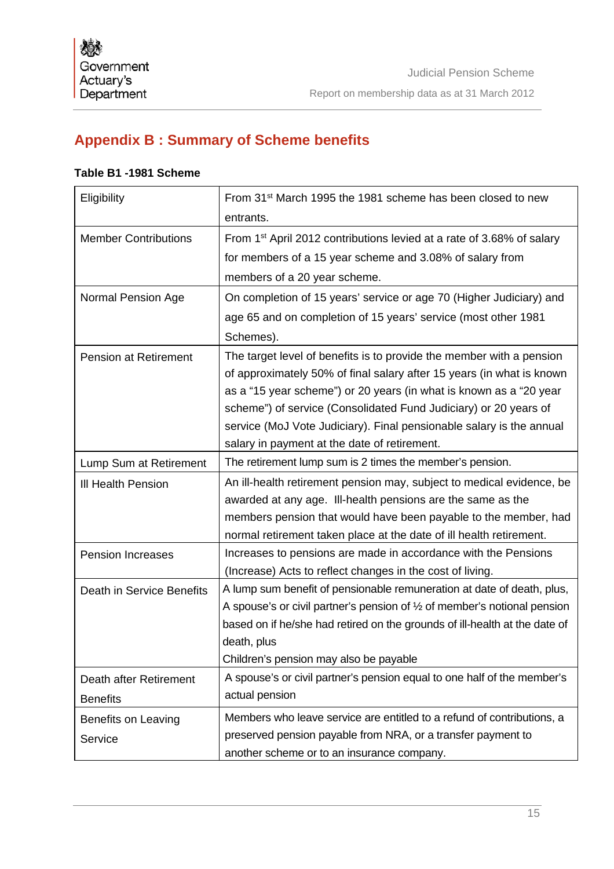# **Appendix B : Summary of Scheme benefits**

## **Table B1 -1981 Scheme**

| Eligibility                  | From 31 <sup>st</sup> March 1995 the 1981 scheme has been closed to new<br>entrants.                                                          |  |  |  |  |
|------------------------------|-----------------------------------------------------------------------------------------------------------------------------------------------|--|--|--|--|
| <b>Member Contributions</b>  | From 1 <sup>st</sup> April 2012 contributions levied at a rate of 3.68% of salary                                                             |  |  |  |  |
|                              | for members of a 15 year scheme and 3.08% of salary from                                                                                      |  |  |  |  |
|                              | members of a 20 year scheme.                                                                                                                  |  |  |  |  |
| Normal Pension Age           | On completion of 15 years' service or age 70 (Higher Judiciary) and                                                                           |  |  |  |  |
|                              | age 65 and on completion of 15 years' service (most other 1981                                                                                |  |  |  |  |
|                              | Schemes).                                                                                                                                     |  |  |  |  |
| <b>Pension at Retirement</b> | The target level of benefits is to provide the member with a pension<br>of approximately 50% of final salary after 15 years (in what is known |  |  |  |  |
|                              | as a "15 year scheme") or 20 years (in what is known as a "20 year                                                                            |  |  |  |  |
|                              | scheme") of service (Consolidated Fund Judiciary) or 20 years of                                                                              |  |  |  |  |
|                              | service (MoJ Vote Judiciary). Final pensionable salary is the annual                                                                          |  |  |  |  |
|                              | salary in payment at the date of retirement.                                                                                                  |  |  |  |  |
| Lump Sum at Retirement       | The retirement lump sum is 2 times the member's pension.                                                                                      |  |  |  |  |
| <b>III Health Pension</b>    | An ill-health retirement pension may, subject to medical evidence, be                                                                         |  |  |  |  |
|                              | awarded at any age. Ill-health pensions are the same as the                                                                                   |  |  |  |  |
|                              | members pension that would have been payable to the member, had                                                                               |  |  |  |  |
|                              | normal retirement taken place at the date of ill health retirement.                                                                           |  |  |  |  |
| <b>Pension Increases</b>     | Increases to pensions are made in accordance with the Pensions                                                                                |  |  |  |  |
|                              | (Increase) Acts to reflect changes in the cost of living.                                                                                     |  |  |  |  |
| Death in Service Benefits    | A lump sum benefit of pensionable remuneration at date of death, plus,                                                                        |  |  |  |  |
|                              | A spouse's or civil partner's pension of $\frac{1}{2}$ of member's notional pension                                                           |  |  |  |  |
|                              | based on if he/she had retired on the grounds of ill-health at the date of                                                                    |  |  |  |  |
|                              | death, plus                                                                                                                                   |  |  |  |  |
|                              | Children's pension may also be payable                                                                                                        |  |  |  |  |
| Death after Retirement       | A spouse's or civil partner's pension equal to one half of the member's                                                                       |  |  |  |  |
| <b>Benefits</b>              | actual pension                                                                                                                                |  |  |  |  |
| Benefits on Leaving          | Members who leave service are entitled to a refund of contributions, a                                                                        |  |  |  |  |
| Service                      | preserved pension payable from NRA, or a transfer payment to                                                                                  |  |  |  |  |
|                              | another scheme or to an insurance company.                                                                                                    |  |  |  |  |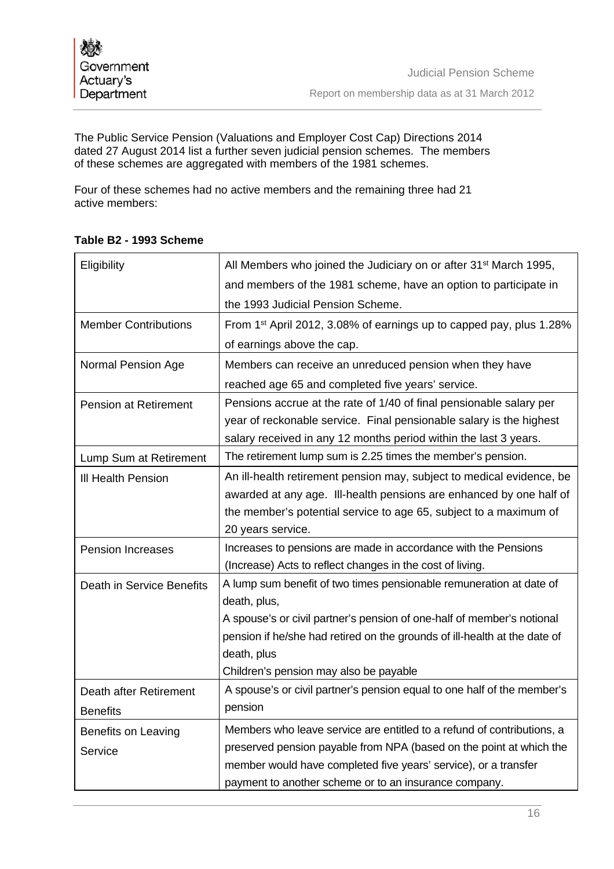The Public Service Pension (Valuations and Employer Cost Cap) Directions 2014 dated 27 August 2014 list a further seven judicial pension schemes. The members of these schemes are aggregated with members of the 1981 schemes.

Four of these schemes had no active members and the remaining three had 21 active members:

| Eligibility                  | All Members who joined the Judiciary on or after 31 <sup>st</sup> March 1995,   |
|------------------------------|---------------------------------------------------------------------------------|
|                              | and members of the 1981 scheme, have an option to participate in                |
|                              | the 1993 Judicial Pension Scheme.                                               |
| <b>Member Contributions</b>  | From 1 <sup>st</sup> April 2012, 3.08% of earnings up to capped pay, plus 1.28% |
|                              | of earnings above the cap.                                                      |
| Normal Pension Age           | Members can receive an unreduced pension when they have                         |
|                              | reached age 65 and completed five years' service.                               |
| <b>Pension at Retirement</b> | Pensions accrue at the rate of 1/40 of final pensionable salary per             |
|                              | year of reckonable service. Final pensionable salary is the highest             |
|                              | salary received in any 12 months period within the last 3 years.                |
| Lump Sum at Retirement       | The retirement lump sum is 2.25 times the member's pension.                     |
| III Health Pension           | An ill-health retirement pension may, subject to medical evidence, be           |
|                              | awarded at any age. Ill-health pensions are enhanced by one half of             |
|                              | the member's potential service to age 65, subject to a maximum of               |
|                              | 20 years service.                                                               |
| <b>Pension Increases</b>     | Increases to pensions are made in accordance with the Pensions                  |
|                              | (Increase) Acts to reflect changes in the cost of living.                       |
| Death in Service Benefits    | A lump sum benefit of two times pensionable remuneration at date of             |
|                              | death, plus,                                                                    |
|                              | A spouse's or civil partner's pension of one-half of member's notional          |
|                              | pension if he/she had retired on the grounds of ill-health at the date of       |
|                              | death, plus                                                                     |
|                              | Children's pension may also be payable                                          |
| Death after Retirement       | A spouse's or civil partner's pension equal to one half of the member's         |
| <b>Benefits</b>              | pension                                                                         |
| Benefits on Leaving          | Members who leave service are entitled to a refund of contributions, a          |
| Service                      | preserved pension payable from NPA (based on the point at which the             |
|                              | member would have completed five years' service), or a transfer                 |
|                              | payment to another scheme or to an insurance company.                           |

# **Table B2 - 1993 Scheme**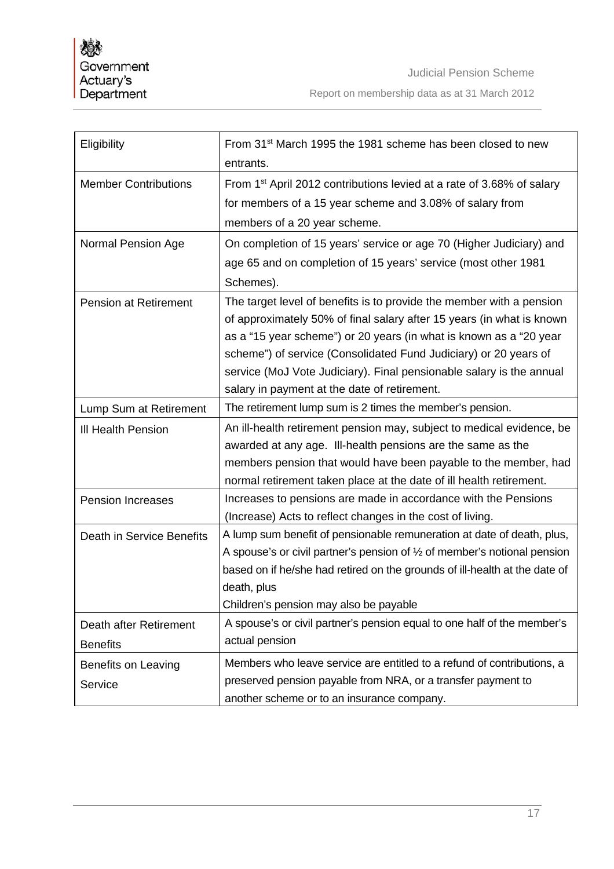| Eligibility                  | From 31 <sup>st</sup> March 1995 the 1981 scheme has been closed to new             |
|------------------------------|-------------------------------------------------------------------------------------|
|                              | entrants.                                                                           |
| <b>Member Contributions</b>  | From 1 <sup>st</sup> April 2012 contributions levied at a rate of 3.68% of salary   |
|                              | for members of a 15 year scheme and 3.08% of salary from                            |
|                              | members of a 20 year scheme.                                                        |
| Normal Pension Age           | On completion of 15 years' service or age 70 (Higher Judiciary) and                 |
|                              | age 65 and on completion of 15 years' service (most other 1981                      |
|                              | Schemes).                                                                           |
| <b>Pension at Retirement</b> | The target level of benefits is to provide the member with a pension                |
|                              | of approximately 50% of final salary after 15 years (in what is known               |
|                              | as a "15 year scheme") or 20 years (in what is known as a "20 year                  |
|                              | scheme") of service (Consolidated Fund Judiciary) or 20 years of                    |
|                              | service (MoJ Vote Judiciary). Final pensionable salary is the annual                |
|                              | salary in payment at the date of retirement.                                        |
| Lump Sum at Retirement       | The retirement lump sum is 2 times the member's pension.                            |
| <b>III Health Pension</b>    | An ill-health retirement pension may, subject to medical evidence, be               |
|                              | awarded at any age. Ill-health pensions are the same as the                         |
|                              | members pension that would have been payable to the member, had                     |
|                              | normal retirement taken place at the date of ill health retirement.                 |
| <b>Pension Increases</b>     | Increases to pensions are made in accordance with the Pensions                      |
|                              | (Increase) Acts to reflect changes in the cost of living.                           |
| Death in Service Benefits    | A lump sum benefit of pensionable remuneration at date of death, plus,              |
|                              | A spouse's or civil partner's pension of $\frac{1}{2}$ of member's notional pension |
|                              | based on if he/she had retired on the grounds of ill-health at the date of          |
|                              | death, plus                                                                         |
|                              | Children's pension may also be payable                                              |
| Death after Retirement       | A spouse's or civil partner's pension equal to one half of the member's             |
| <b>Benefits</b>              | actual pension                                                                      |
| <b>Benefits on Leaving</b>   | Members who leave service are entitled to a refund of contributions, a              |
| Service                      | preserved pension payable from NRA, or a transfer payment to                        |
|                              | another scheme or to an insurance company.                                          |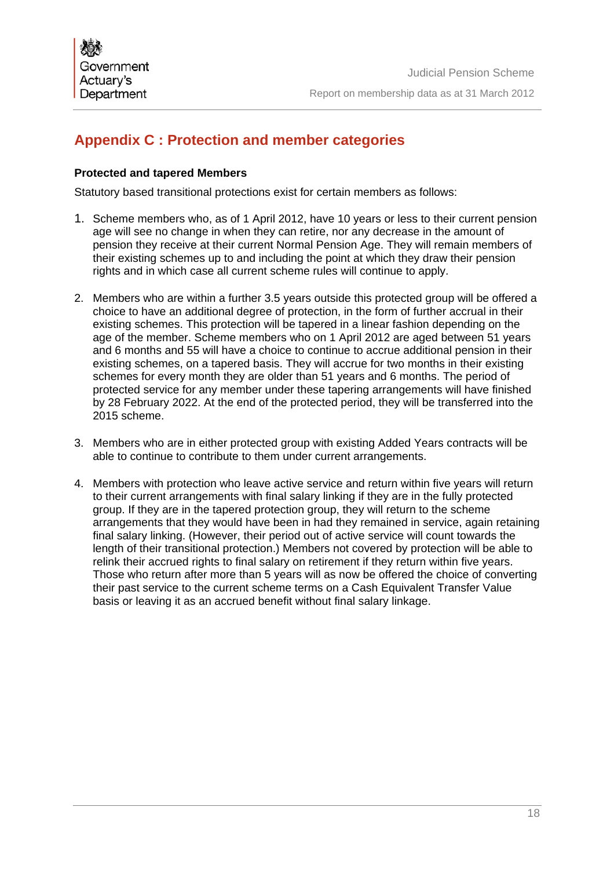# **Appendix C : Protection and member categories**

## **Protected and tapered Members**

Statutory based transitional protections exist for certain members as follows:

- 1. Scheme members who, as of 1 April 2012, have 10 years or less to their current pension age will see no change in when they can retire, nor any decrease in the amount of pension they receive at their current Normal Pension Age. They will remain members of their existing schemes up to and including the point at which they draw their pension rights and in which case all current scheme rules will continue to apply.
- 2. Members who are within a further 3.5 years outside this protected group will be offered a choice to have an additional degree of protection, in the form of further accrual in their existing schemes. This protection will be tapered in a linear fashion depending on the age of the member. Scheme members who on 1 April 2012 are aged between 51 years and 6 months and 55 will have a choice to continue to accrue additional pension in their existing schemes, on a tapered basis. They will accrue for two months in their existing schemes for every month they are older than 51 years and 6 months. The period of protected service for any member under these tapering arrangements will have finished by 28 February 2022. At the end of the protected period, they will be transferred into the 2015 scheme.
- 3. Members who are in either protected group with existing Added Years contracts will be able to continue to contribute to them under current arrangements.
- 4. Members with protection who leave active service and return within five years will return to their current arrangements with final salary linking if they are in the fully protected group. If they are in the tapered protection group, they will return to the scheme arrangements that they would have been in had they remained in service, again retaining final salary linking. (However, their period out of active service will count towards the length of their transitional protection.) Members not covered by protection will be able to relink their accrued rights to final salary on retirement if they return within five years. Those who return after more than 5 years will as now be offered the choice of converting their past service to the current scheme terms on a Cash Equivalent Transfer Value basis or leaving it as an accrued benefit without final salary linkage.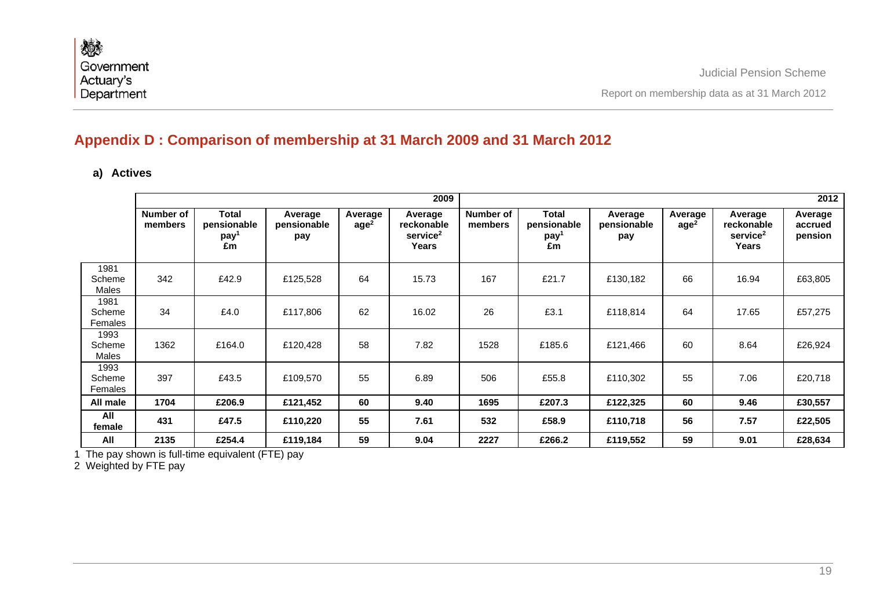# **Appendix D : Comparison of membership at 31 March 2009 and 31 March 2012**

# **a) Actives**

|                           |                      |                                                       |                               |                             | 2009                                                          | 2012                 |                                                       |                               |                             |                                                        |                               |
|---------------------------|----------------------|-------------------------------------------------------|-------------------------------|-----------------------------|---------------------------------------------------------------|----------------------|-------------------------------------------------------|-------------------------------|-----------------------------|--------------------------------------------------------|-------------------------------|
|                           | Number of<br>members | <b>Total</b><br>pensionable<br>pay <sup>1</sup><br>£m | Average<br>pensionable<br>pay | Average<br>age <sup>2</sup> | Average<br>reckonable<br>service <sup>2</sup><br><b>Years</b> | Number of<br>members | <b>Total</b><br>pensionable<br>pay <sup>1</sup><br>£m | Average<br>pensionable<br>pay | Average<br>age <sup>2</sup> | Average<br>reckonable<br>service <sup>2</sup><br>Years | Average<br>accrued<br>pension |
| 1981<br>Scheme<br>Males   | 342                  | £42.9                                                 | £125,528                      | 64                          | 15.73                                                         | 167                  | £21.7                                                 | £130,182                      | 66                          | 16.94                                                  | £63,805                       |
| 1981<br>Scheme<br>Females | 34                   | £4.0                                                  | £117,806                      | 62                          | 16.02                                                         | 26                   | £3.1                                                  | £118,814                      | 64                          | 17.65                                                  | £57,275                       |
| 1993<br>Scheme<br>Males   | 1362                 | £164.0                                                | £120,428                      | 58                          | 7.82                                                          | 1528                 | £185.6                                                | £121,466                      | 60                          | 8.64                                                   | £26,924                       |
| 1993<br>Scheme<br>Females | 397                  | £43.5                                                 | £109,570                      | 55                          | 6.89                                                          | 506                  | £55.8                                                 | £110,302                      | 55                          | 7.06                                                   | £20,718                       |
| All male                  | 1704                 | £206.9                                                | £121,452                      | 60                          | 9.40                                                          | 1695                 | £207.3                                                | £122,325                      | 60                          | 9.46                                                   | £30,557                       |
| All<br>female             | 431                  | £47.5                                                 | £110,220                      | 55                          | 7.61                                                          | 532                  | £58.9                                                 | £110,718                      | 56                          | 7.57                                                   | £22,505                       |
| All                       | 2135                 | £254.4                                                | £119,184                      | 59                          | 9.04                                                          | 2227                 | £266.2                                                | £119,552                      | 59                          | 9.01                                                   | £28,634                       |

1 The pay shown is full-time equivalent (FTE) pay

2 Weighted by FTE pay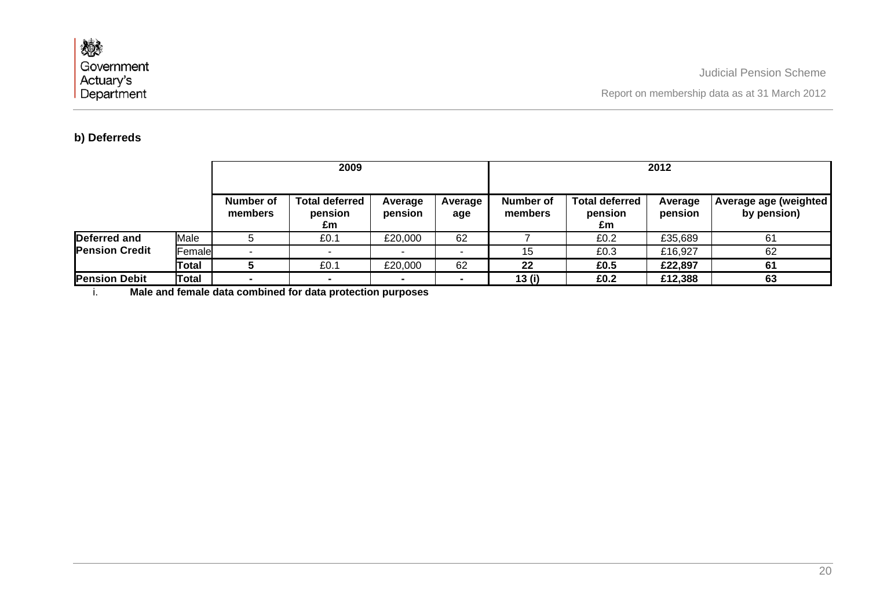Report on membership data as at 31 March 2012

### **b) Deferreds**

|                                       |              |                      | 2009                                   |                    |                | 2012                 |                                        |                    |                                       |  |
|---------------------------------------|--------------|----------------------|----------------------------------------|--------------------|----------------|----------------------|----------------------------------------|--------------------|---------------------------------------|--|
|                                       |              | Number of<br>members | <b>Total deferred</b><br>pension<br>£m | Average<br>pension | Average<br>age | Number of<br>members | <b>Total deferred</b><br>pension<br>£m | Average<br>pension | Average age (weighted)<br>by pension) |  |
| Deferred and<br><b>Pension Credit</b> | Male         |                      | £0.1                                   | £20,000            | 62             |                      | £0.2                                   | £35,689            | 61                                    |  |
|                                       | Female       |                      |                                        |                    |                | 15                   | £0.3                                   | £16,927            | 62                                    |  |
|                                       | Total        |                      | £0.1                                   | £20,000            | 62             | 22                   | £0.5                                   | £22,897            | 61                                    |  |
| <b>Pension Debit</b>                  | <b>Total</b> |                      |                                        |                    |                | 13(i)                | £0.2                                   | £12,388            | 63                                    |  |

i. **Male and female data combined for data protection purposes**